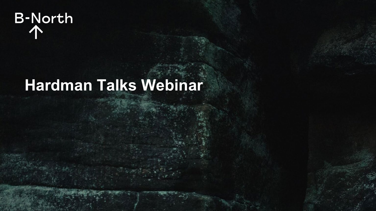

# **Hardman Talks Webinar**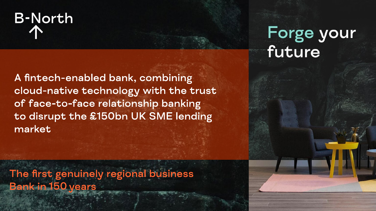

A fintech-enabled bank, combining cloud-native technology with the trust of face-to-face relationship banking to disrupt the £150bn UK SME lending market

The first genuinely regional business **Bank in 150 years** 

## Forge your future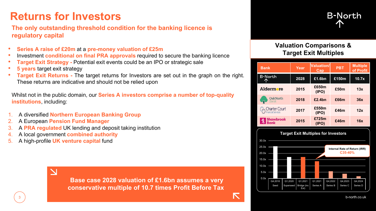## **Returns for Investors**

### **The only outstanding threshold condition for the banking licence is regulatory capital**

- **Series A raise of £20m** at a **pre-money valuation of £25m**
- Investment **conditional on final PRA approvals** required to secure the banking licence
- **Target Exit Strategy -** Potential exit events could be an IPO or strategic sale
- **5 years** target exit strategy
- **Target Exit Returns** The target returns for Investors are set out in the graph on the right. These returns are indicative and should not be relied upon

Whilst not in the public domain, our **Series A investors comprise a number of top-quality institutions**, including:

- 1. A diversified **Northern European Banking Group**
- 2. A European **Pension Fund Manager**
- 3. A **PRA regulated** UK lending and deposit taking institution
- 4. A local government **combined authority**
- 5. A high-profile **UK venture capital** fund

 $\overline{\mathbf{N}}$ 

**Base case 2028 valuation of £1.6bn assumes a very conservative multiple of 10.7 times Profit Before Tax**



## **Valuation Comparisons & Target Exit Multiples**

| <b>Bank</b>                   | Year | <b>Valuation/</b><br>Cap | <b>PBT</b> | <b>Multiple</b><br>of Profit |
|-------------------------------|------|--------------------------|------------|------------------------------|
| <b>B-North</b>                | 2028 | £1.6bn                   | £150m      | 10.7x                        |
| Aldermore                     | 2015 | £650m<br>(IPO)           | £50m       | 13x                          |
| <b>OakNorth</b><br>Bank       | 2018 | £2.4bn                   | £66m       | 36x                          |
| Charter Court                 | 2017 | £550m<br>(IPO)           | £46m       | 12x                          |
| <b>Shawbrook</b><br>Bank<br>戈 | 2015 | £725m<br>(IPO)           | £46m       | 16x                          |

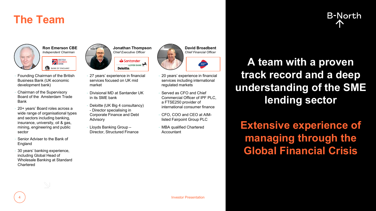## **The Team**



**22 BRITISH**<br>BANK **BANK OF ENGLAND** 

- Founding Chairman of the British Business Bank (UK economic development bank)
- Chairman of the Supervisory Board of the Amsterdam Trade Bank
- 20+ years' Board roles across a wide range of organisational types and sectors including banking, insurance, university, oil & gas, mining, engineering and public sector
- Senior Adviser to the Bank of **England**
- 30 years' banking experience, including Global Head of Wholesale Banking at Standard Chartered



- Santander LLOYDS BANK Deloitte.
- 27 years' experience in financial services focused on UK mid market
- Divisional MD at Santander UK in its SME bank
- Deloitte (UK Big 4 consultancy) - Director specialising in Corporate Finance and Debt Advisory
- Lloyds Banking Group Director, Structured Finance



- 20 years' experience in financial services including international regulated markets
- Served as CFO and Chief Commercial Officer of IPF PLC, a FTSE250 provider of international consumer finance
- CFO, COO and CEO at AIMlisted Fairpoint Group PLC
- MBA qualified Chartered **Accountant**

**A team with a proven track record and a deep understanding of the SME lending sector**

**Extensive experience of managing through the Global Financial Crisis**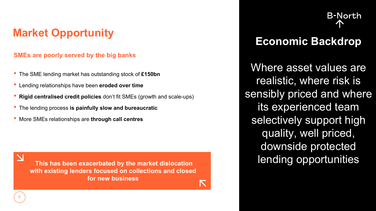## **SMEs are poorly served by the big banks**

- The SME lending market has outstanding stock of **£150bn**
- Lending relationships have been **eroded over time**
- **Rigid centralised credit policies** don't fit SMEs (growth and scale-ups)
- The lending process **is painfully slow and bureaucratic**
- More SMEs relationships are **through call centres**

**with existing lenders focused on collections and closed for new business**

**B-North** 

# **Market Opportunity <b>Economic Backdrop**

Where asset values are realistic, where risk is sensibly priced and where its experienced team selectively support high quality, well priced, downside protected **This has been exacerbated by the market dislocation** lending opportunities

 $\overline{\mathbf{N}}$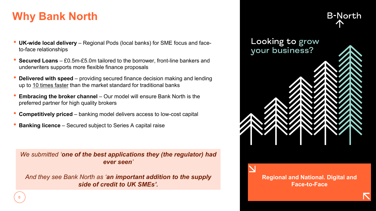## **Why Bank North**

- **UK-wide local delivery** Regional Pods (local banks) for SME focus and faceto-face relationships
- **Secured Loans**  £0.5m-£5.0m tailored to the borrower, front-line bankers and underwriters supports more flexible finance proposals
- **Delivered with speed**  providing secured finance decision making and lending up to 10 times faster than the market standard for traditional banks
- **Embracing the broker channel** Our model will ensure Bank North is the preferred partner for high quality brokers
- **Competitively priced**  banking model delivers access to low-cost capital
- **Banking licence** Secured subject to Series A capital raise

*We submitted 'one of the best applications they (the regulator) had ever seen'* 

*And they see Bank North as 'an important addition to the supply side of credit to UK SMEs'.*



**Regional and National. Digital and Face-to-Face**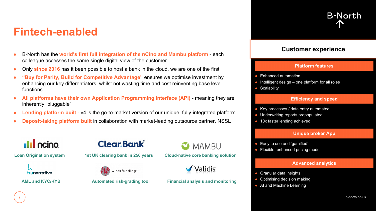## **Fintech-enabled**

- B-North has the **world's first full integration of the nCino and Mambu platform** each colleague accesses the same single digital view of the customer
- Only **since 2016** has it been possible to host a bank in the cloud, we are one of the first
- **"Buy for Parity, Build for Competitive Advantage"** ensures we optimise investment by enhancing our key differentiators, whilst not wasting time and cost reinventing base level functions
- **All platforms have their own Application Programming Interface (API)** meaning they are inherently "pluggable"
- **Lending platform built** v4 is the go-to-market version of our unique, fully-integrated platform
- **Deposit-taking platform built** in collaboration with market-leading outsource partner, NSSL

## **Ill** ncino



7







**Loan Origination system 1st UK clearing bank in 250 years Cloud-native core banking solution**



#### **AML and KYC/KYB Automated risk-grading tool Financial analysis and monitoring**

## **Platform features**

**Customer experience**

**B-North** 

- Enhanced automation
- $\bullet$  Intelligent design one platform for all roles
- Scalability

#### **Efficiency and speed**

- Key processes / data entry automated
- Underwriting reports prepopulated
- 10x faster lending achieved

#### **Unique broker App**

- Easy to use and 'gamified'
- Flexible, enhanced pricing model

#### **Advanced analytics**

- Granular data insights
- Optimising decision making
- AI and Machine Learning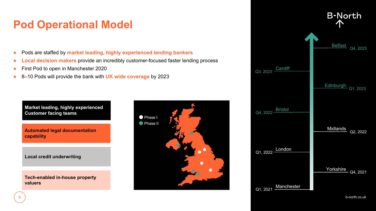## **Pod Operational Model**

- Pods are staffed by **market leading, highly experienced lending bankers**
- **Local decision makers** provide an incredibly customer-focused faster lending process
- First Pod to open in Manchester 2020
- 8–10 Pods will provide the bank with **UK wide coverage** by 2023

**Market leading, highly experienced Customer facing teams**

**Automated legal documentation capability**

**Local credit underwriting**

**Tech-enabled in-house property valuers**



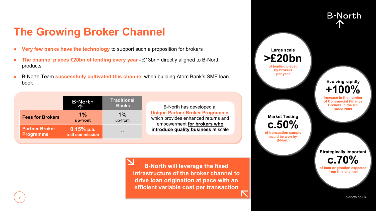## **The Growing Broker Channel**

- **Very few banks have the technology** to support such a proposition for brokers
- **The channel places £20bn of lending every year** £13bn+ directly aligned to B-North products
- B-North Team **successfully cultivated this channel** when building Atom Bank's SME loan book

|                                           | <b>B-North</b>                   | <b>Traditional</b><br><b>Banks</b> |
|-------------------------------------------|----------------------------------|------------------------------------|
| <b>Fees for Brokers</b>                   | $1\%$<br>up-front                | $1\%$<br>up-front                  |
| <b>Partner Broker</b><br><b>Programme</b> | $0.15%$ p.a.<br>trail commission |                                    |

9

B-North has developed a **Unique Partner Broker Programme** which provides enhanced returns and empowerment **for brokers who introduce quality business** at scale

**B-North will leverage the fixed infrastructure of the broker channel to drive loan origination at pace with an efficient variable cost per transaction**

**Large scale >£20bn of lending placed by brokers per year Market Testing c.50% of transaction sample could be won by B-North Evolving rapidly +100% increase in the of Commercial Finance Brokers in the UK since 2009**

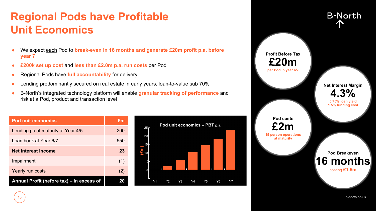## **Regional Pods have Profitable Unit Economics**

- We expect each Pod to **break-even in 16 months and generate £20m profit p.a. before year 7**
- **£200k set up cost** and **less than £2.0m p.a. run costs** per Pod
- Regional Pods have **full accountability** for delivery
- Lending predominantly secured on real estate in early years, loan-to-value sub 70%
- B-North's integrated technology platform will enable **granular tracking of performance** and risk at a Pod, product and transaction level

| <b>Pod unit economics</b>                 | £m  |
|-------------------------------------------|-----|
| Lending pa at maturity at Year 4/5        | 200 |
| Loan book at Year 6/7                     | 550 |
| Net interest income                       | 23  |
| Impairment                                | (1) |
| Yearly run costs                          | (2) |
| Annual Profit (before tax) - in excess of |     |





b-north.co.uk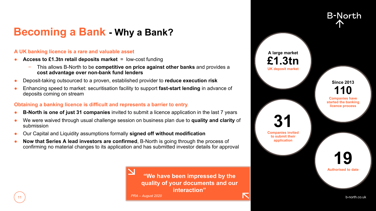## **Becoming a Bank - Why a Bank?**

#### **A UK banking licence is a rare and valuable asset**

- **Access to £1.3tn retail deposits market** = low-cost funding
	- − This allows B-North to be **competitive on price against other banks** and provides a **cost advantage over non-bank fund lenders**
- Deposit-taking outsourced to a proven, established provider to **reduce execution risk**
- Enhancing speed to market: securitisation facility to support **fast-start lending** in advance of deposits coming on stream

#### **Obtaining a banking licence is difficult and represents a barrier to entry**

- **B-North is one of just 31 companies** invited to submit a licence application in the last 7 years
- We were waived through usual challenge session on business plan due to **quality and clarity** of submission
- Our Capital and Liquidity assumptions formally **signed off without modification**
- **Now that Series A lead investors are confirmed, B-North is going through the process of** confirming no material changes to its application and has submitted investor details for approval



**A large market £1.3tn UK deposit market 19 Authorised to date 31 Companies invited to submit their application Since 2013 110 Companies have started the banking licence process**

b-north.co.uk